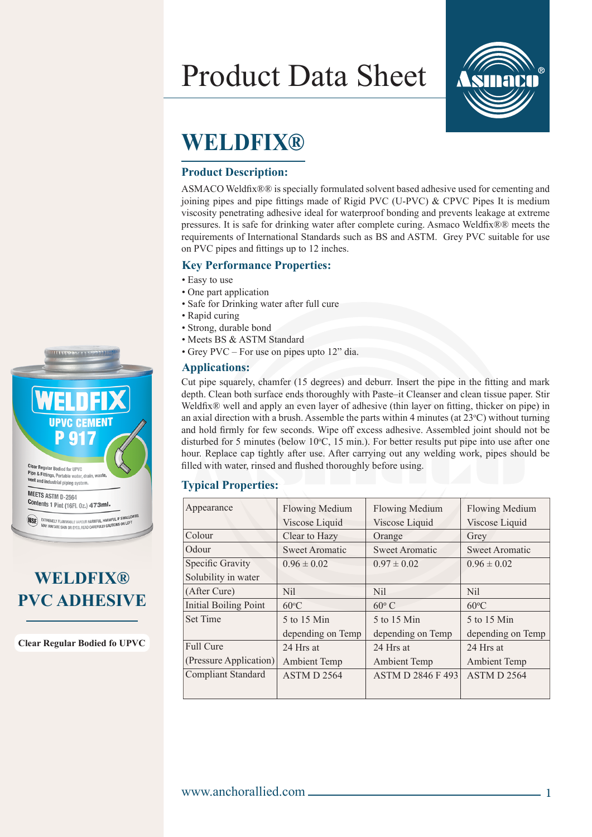# Product Data Sheet



## **WELDFIX®**

### **Product Description:**

ASMACO Weldfix®® is specially formulated solvent based adhesive used for cementing and joining pipes and pipe fittings made of Rigid PVC (U-PVC) & CPVC Pipes It is medium viscosity penetrating adhesive ideal for waterproof bonding and prevents leakage at extreme pressures. It is safe for drinking water after complete curing. Asmaco Weldfix®® meets the requirements of International Standards such as BS and ASTM. Grey PVC suitable for use on PVC pipes and fittings up to 12 inches.

### **Key Performance Properties:**

- Easy to use
- One part application
- Safe for Drinking water after full cure
- Rapid curing
- Strong, durable bond
- Meets BS & ASTM Standard
- Grey PVC For use on pipes upto 12" dia.

### **Applications:**

Cut pipe squarely, chamfer (15 degrees) and deburr. Insert the pipe in the fitting and mark depth. Clean both surface ends thoroughly with Paste–it Cleanser and clean tissue paper. Stir Weldfix® well and apply an even layer of adhesive (thin layer on fitting, thicker on pipe) in an axial direction with a brush. Assemble the parts within 4 minutes (at  $23^{\circ}$ C) without turning and hold firmly for few seconds. Wipe off excess adhesive. Assembled joint should not be disturbed for 5 minutes (below  $10^{\circ}$ C, 15 min.). For better results put pipe into use after one hour. Replace cap tightly after use. After carrying out any welding work, pipes should be filled with water, rinsed and flushed thoroughly before using.

### **Typical Properties:**

| Appearance                   | <b>Flowing Medium</b> | <b>Flowing Medium</b>    | Flowing Medium        |
|------------------------------|-----------------------|--------------------------|-----------------------|
|                              | Viscose Liquid        | Viscose Liquid           | Viscose Liquid        |
| Colour                       | Clear to Hazy         | Orange                   | Grey                  |
| Odour                        | <b>Sweet Aromatic</b> | <b>Sweet Aromatic</b>    | <b>Sweet Aromatic</b> |
| Specific Gravity             | $0.96 \pm 0.02$       | $0.97 \pm 0.02$          | $0.96 \pm 0.02$       |
| Solubility in water          |                       |                          |                       |
| (After Cure)                 | Nil                   | Nil                      | Nil.                  |
| <b>Initial Boiling Point</b> | $60^{\circ}$ C        | $60^{\circ}$ C           | $60^{\circ}$ C        |
| <b>Set Time</b>              | 5 to 15 Min           | 5 to 15 Min              | 5 to 15 Min           |
|                              | depending on Temp     | depending on Temp        | depending on Temp     |
| <b>Full Cure</b>             | 24 Hrs at             | 24 Hrs at                | 24 Hrs at             |
| (Pressure Application)       | <b>Ambient Temp</b>   | <b>Ambient Temp</b>      | <b>Ambient Temp</b>   |
| <b>Compliant Standard</b>    | ASTMD <sub>2564</sub> | <b>ASTM D 2846 F 493</b> | ASTM D 2564           |
|                              |                       |                          |                       |



**(NSF)** EXTREMELY FLAMMABLE VAPOUR HARMFUL, HARMFUL IF SWALLOWE<br>MAY IRRITATE SKIN OR EYES, READ CAREFULLY CAUTIONS ON LEFT

### **WELDFIX® PVC ADHESIVE**

**Clear Regular Bodied fo UPVC**

. 1